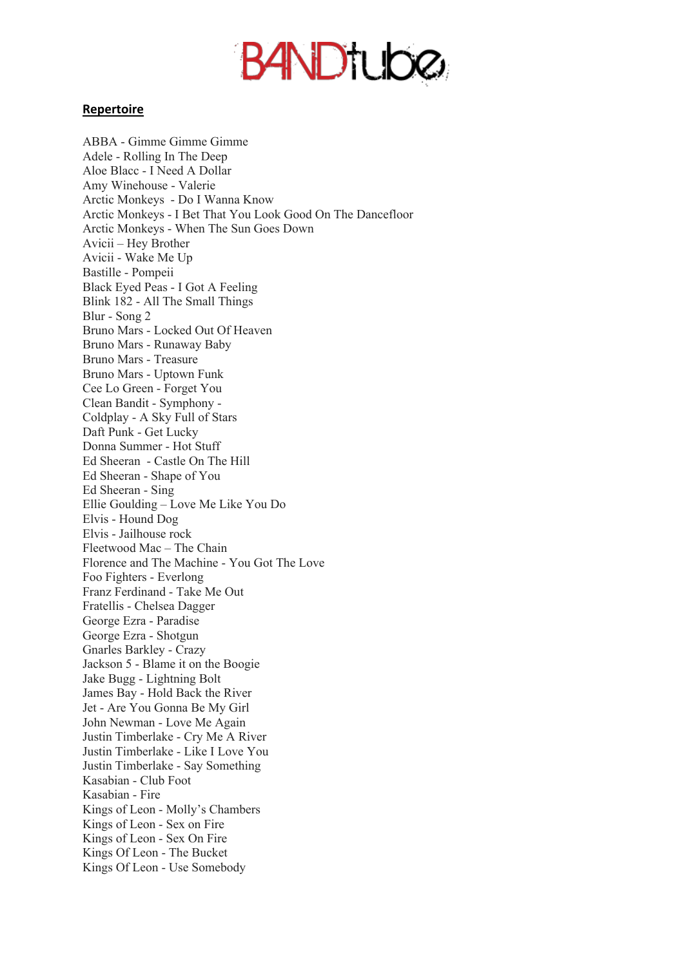## **BANDTUDØ**

## **Repertoire**

ABBA - Gimme Gimme Gimme Adele - Rolling In The Deep Aloe Blacc - I Need A Dollar Amy Winehouse - Valerie Arctic Monkeys - Do I Wanna Know Arctic Monkeys - I Bet That You Look Good On The Dancefloor Arctic Monkeys - When The Sun Goes Down Avicii – Hey Brother Avicii - Wake Me Up Bastille - Pompeii Black Eyed Peas - I Got A Feeling Blink 182 - All The Small Things Blur - Song 2 Bruno Mars - Locked Out Of Heaven Bruno Mars - Runaway Baby Bruno Mars - Treasure Bruno Mars - Uptown Funk Cee Lo Green - Forget You Clean Bandit - Symphony - Coldplay - A Sky Full of Stars Daft Punk - Get Lucky Donna Summer - Hot Stuff Ed Sheeran - Castle On The Hill Ed Sheeran - Shape of You Ed Sheeran - Sing Ellie Goulding – Love Me Like You Do Elvis - Hound Dog Elvis - Jailhouse rock Fleetwood Mac – The Chain Florence and The Machine - You Got The Love Foo Fighters - Everlong Franz Ferdinand - Take Me Out Fratellis - Chelsea Dagger George Ezra - Paradise George Ezra - Shotgun Gnarles Barkley - Crazy Jackson 5 - Blame it on the Boogie Jake Bugg - Lightning Bolt James Bay - Hold Back the River Jet - Are You Gonna Be My Girl John Newman - Love Me Again Justin Timberlake - Cry Me A River Justin Timberlake - Like I Love You Justin Timberlake - Say Something Kasabian - Club Foot Kasabian - Fire Kings of Leon - Molly's Chambers Kings of Leon - Sex on Fire Kings of Leon - Sex On Fire Kings Of Leon - The Bucket Kings Of Leon - Use Somebody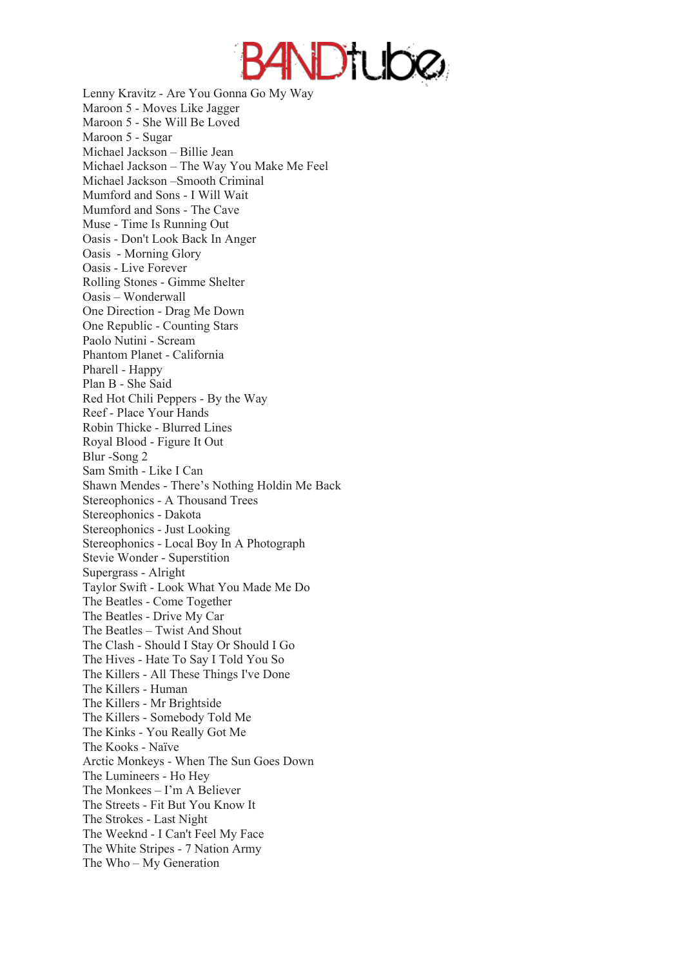

Lenny Kravitz - Are You Gonna Go My Way Maroon 5 - Moves Like Jagger Maroon 5 - She Will Be Loved Maroon 5 - Sugar Michael Jackson – Billie Jean Michael Jackson – The Way You Make Me Feel Michael Jackson –Smooth Criminal Mumford and Sons - I Will Wait Mumford and Sons - The Cave Muse - Time Is Running Out Oasis - Don't Look Back In Anger Oasis - Morning Glory Oasis - Live Forever Rolling Stones - Gimme Shelter Oasis – Wonderwall One Direction - Drag Me Down One Republic - Counting Stars Paolo Nutini - Scream Phantom Planet - California Pharell - Happy Plan B - She Said Red Hot Chili Peppers - By the Way Reef - Place Your Hands Robin Thicke - Blurred Lines Royal Blood - Figure It Out Blur -Song 2 Sam Smith - Like I Can Shawn Mendes - There's Nothing Holdin Me Back Stereophonics - A Thousand Trees Stereophonics - Dakota Stereophonics - Just Looking Stereophonics - Local Boy In A Photograph Stevie Wonder - Superstition Supergrass - Alright Taylor Swift - Look What You Made Me Do The Beatles - Come Together The Beatles - Drive My Car The Beatles – Twist And Shout The Clash - Should I Stay Or Should I Go The Hives - Hate To Say I Told You So The Killers - All These Things I've Done The Killers - Human The Killers - Mr Brightside The Killers - Somebody Told Me The Kinks - You Really Got Me The Kooks - Naïve Arctic Monkeys - When The Sun Goes Down The Lumineers - Ho Hey The Monkees – I'm A Believer The Streets - Fit But You Know It The Strokes - Last Night The Weeknd - I Can't Feel My Face The White Stripes - 7 Nation Army The Who – My Generation